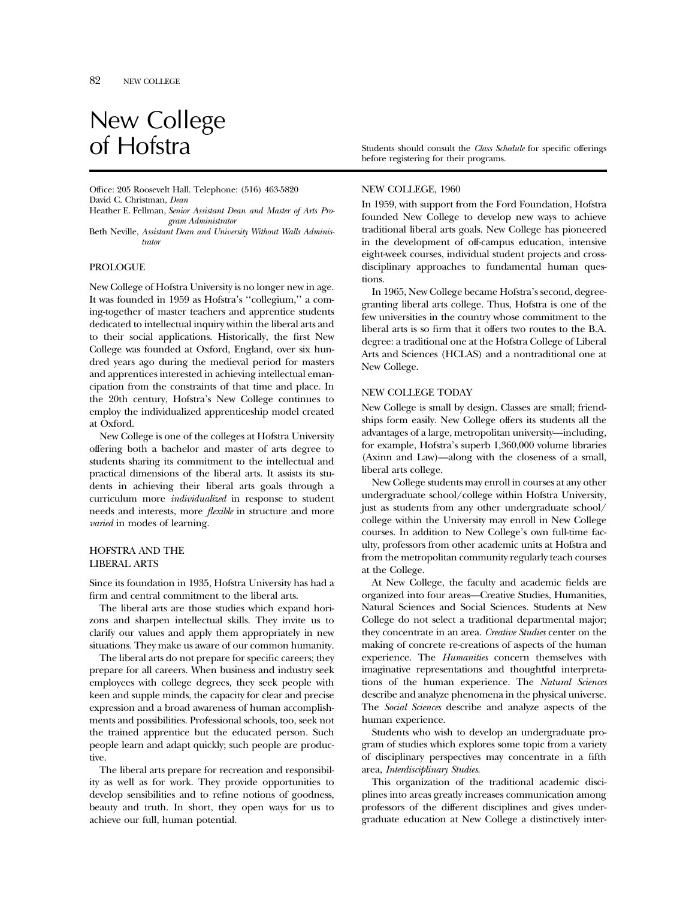# New College<br>of Hofstra

Office: 205 Roosevelt Hall. Telephone: (516) 463-5820 David C. Christman, *Dean*

Heather E. Fellman, *Senior Assistant Dean and Master of Arts Program Administrator*

Beth Neville, *Assistant Dean and University Without Walls Administrator*

## PROLOGUE

New College of Hofstra University is no longer new in age. It was founded in 1959 as Hofstra's ''collegium,'' a coming-together of master teachers and apprentice students dedicated to intellectual inquiry within the liberal arts and to their social applications. Historically, the first New College was founded at Oxford, England, over six hundred years ago during the medieval period for masters and apprentices interested in achieving intellectual emancipation from the constraints of that time and place. In the 20th century, Hofstra's New College continues to employ the individualized apprenticeship model created at Oxford.

New College is one of the colleges at Hofstra University offering both a bachelor and master of arts degree to students sharing its commitment to the intellectual and practical dimensions of the liberal arts. It assists its students in achieving their liberal arts goals through a curriculum more *individualized* in response to student needs and interests, more *flexible* in structure and more *varied* in modes of learning.

## HOFSTRA AND THE LIBERAL ARTS

Since its foundation in 1935, Hofstra University has had a firm and central commitment to the liberal arts.

The liberal arts are those studies which expand horizons and sharpen intellectual skills. They invite us to clarify our values and apply them appropriately in new situations. They make us aware of our common humanity.

The liberal arts do not prepare for specific careers; they prepare for all careers. When business and industry seek employees with college degrees, they seek people with keen and supple minds, the capacity for clear and precise expression and a broad awareness of human accomplishments and possibilities. Professional schools, too, seek not the trained apprentice but the educated person. Such people learn and adapt quickly; such people are productive.

The liberal arts prepare for recreation and responsibility as well as for work. They provide opportunities to develop sensibilities and to refine notions of goodness, beauty and truth. In short, they open ways for us to achieve our full, human potential.

Students should consult the *Class Schedule* for specific offerings before registering for their programs.

#### NEW COLLEGE, 1960

In 1959, with support from the Ford Foundation, Hofstra founded New College to develop new ways to achieve traditional liberal arts goals. New College has pioneered in the development of off-campus education, intensive eight-week courses, individual student projects and crossdisciplinary approaches to fundamental human questions.

In 1965, New College became Hofstra's second, degreegranting liberal arts college. Thus, Hofstra is one of the few universities in the country whose commitment to the liberal arts is so firm that it offers two routes to the B.A. degree: a traditional one at the Hofstra College of Liberal Arts and Sciences (HCLAS) and a nontraditional one at New College.

## NEW COLLEGE TODAY

New College is small by design. Classes are small; friendships form easily. New College offers its students all the advantages of a large, metropolitan university—including, for example, Hofstra's superb 1,360,000 volume libraries (Axinn and Law)—along with the closeness of a small, liberal arts college.

New College students may enroll in courses at any other undergraduate school/college within Hofstra University, just as students from any other undergraduate school/ college within the University may enroll in New College courses. In addition to New College's own full-time faculty, professors from other academic units at Hofstra and from the metropolitan community regularly teach courses at the College.

At New College, the faculty and academic fields are organized into four areas—Creative Studies, Humanities, Natural Sciences and Social Sciences. Students at New College do not select a traditional departmental major; they concentrate in an area. *Creative Studies* center on the making of concrete re-creations of aspects of the human experience. The *Humanities* concern themselves with imaginative representations and thoughtful interpretations of the human experience. The *Natural Sciences* describe and analyze phenomena in the physical universe. The *Social Sciences* describe and analyze aspects of the human experience.

Students who wish to develop an undergraduate program of studies which explores some topic from a variety of disciplinary perspectives may concentrate in a fifth area, *Interdisciplinary Studies*.

This organization of the traditional academic disciplines into areas greatly increases communication among professors of the different disciplines and gives undergraduate education at New College a distinctively inter-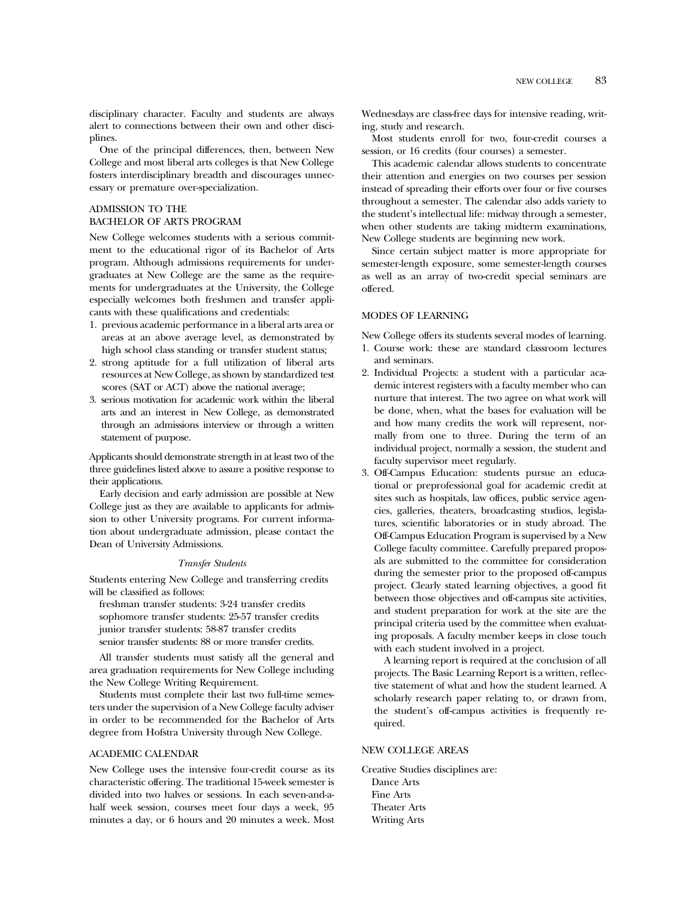disciplinary character. Faculty and students are always alert to connections between their own and other disciplines.

One of the principal differences, then, between New College and most liberal arts colleges is that New College fosters interdisciplinary breadth and discourages unnecessary or premature over-specialization.

## ADMISSION TO THE

## BACHELOR OF ARTS PROGRAM

New College welcomes students with a serious commitment to the educational rigor of its Bachelor of Arts program. Although admissions requirements for undergraduates at New College are the same as the requirements for undergraduates at the University, the College especially welcomes both freshmen and transfer applicants with these qualifications and credentials:

- 1. previous academic performance in a liberal arts area or areas at an above average level, as demonstrated by high school class standing or transfer student status;
- 2. strong aptitude for a full utilization of liberal arts resources at New College, as shown by standardized test scores (SAT or ACT) above the national average;
- 3. serious motivation for academic work within the liberal arts and an interest in New College, as demonstrated through an admissions interview or through a written statement of purpose.

Applicants should demonstrate strength in at least two of the three guidelines listed above to assure a positive response to their applications.

Early decision and early admission are possible at New College just as they are available to applicants for admission to other University programs. For current information about undergraduate admission, please contact the Dean of University Admissions.

## *Transfer Students*

Students entering New College and transferring credits will be classified as follows:

freshman transfer students: 3-24 transfer credits sophomore transfer students: 25-57 transfer credits junior transfer students: 58-87 transfer credits senior transfer students: 88 or more transfer credits.

All transfer students must satisfy all the general and area graduation requirements for New College including the New College Writing Requirement.

Students must complete their last two full-time semesters under the supervision of a New College faculty adviser in order to be recommended for the Bachelor of Arts degree from Hofstra University through New College.

#### ACADEMIC CALENDAR

New College uses the intensive four-credit course as its characteristic offering. The traditional 15-week semester is divided into two halves or sessions. In each seven-and-ahalf week session, courses meet four days a week, 95 minutes a day, or 6 hours and 20 minutes a week. Most

Wednesdays are class-free days for intensive reading, writing, study and research.

Most students enroll for two, four-credit courses a session, or 16 credits (four courses) a semester.

This academic calendar allows students to concentrate their attention and energies on two courses per session instead of spreading their efforts over four or five courses throughout a semester. The calendar also adds variety to the student's intellectual life: midway through a semester, when other students are taking midterm examinations, New College students are beginning new work.

Since certain subject matter is more appropriate for semester-length exposure, some semester-length courses as well as an array of two-credit special seminars are offered.

#### MODES OF LEARNING

New College offers its students several modes of learning.

- 1. Course work: these are standard classroom lectures and seminars.
- 2. Individual Projects: a student with a particular academic interest registers with a faculty member who can nurture that interest. The two agree on what work will be done, when, what the bases for evaluation will be and how many credits the work will represent, normally from one to three. During the term of an individual project, normally a session, the student and faculty supervisor meet regularly.
- 3. Off-Campus Education: students pursue an educational or preprofessional goal for academic credit at sites such as hospitals, law offices, public service agencies, galleries, theaters, broadcasting studios, legislatures, scientific laboratories or in study abroad. The Off-Campus Education Program is supervised by a New College faculty committee. Carefully prepared proposals are submitted to the committee for consideration during the semester prior to the proposed off-campus project. Clearly stated learning objectives, a good fit between those objectives and off-campus site activities, and student preparation for work at the site are the principal criteria used by the committee when evaluating proposals. A faculty member keeps in close touch with each student involved in a project.

A learning report is required at the conclusion of all projects. The Basic Learning Report is a written, reflective statement of what and how the student learned. A scholarly research paper relating to, or drawn from, the student's off-campus activities is frequently required.

# NEW COLLEGE AREAS

Creative Studies disciplines are: Dance Arts Fine Arts Theater Arts Writing Arts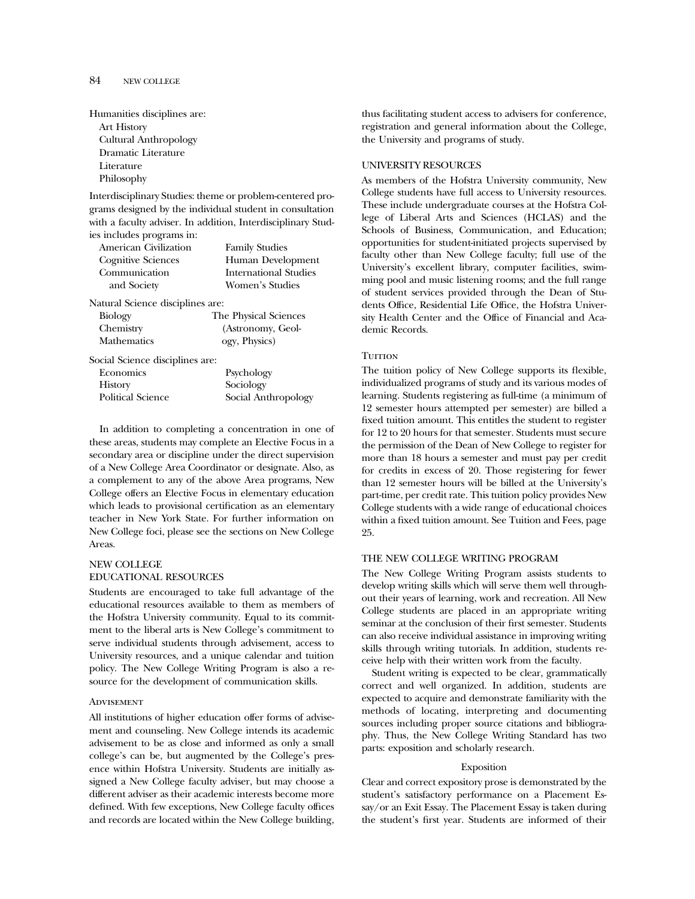| Humanities disciplines are: |
|-----------------------------|
| <b>Art History</b>          |
| Cultural Anthropology       |
| Dramatic Literature         |
| Literature                  |
| Philosophy                  |

Interdisciplinary Studies: theme or problem-centered programs designed by the individual student in consultation with a faculty adviser. In addition, Interdisciplinary Studies includes programs in:

| American Civilization            | <b>Family Studies</b> |  |  |  |
|----------------------------------|-----------------------|--|--|--|
| Cognitive Sciences               | Human Development     |  |  |  |
| Communication                    | International Studies |  |  |  |
| and Society                      | Women's Studies       |  |  |  |
| Natural Science disciplines are: |                       |  |  |  |
| <b>Biology</b>                   | The Physical Sciences |  |  |  |
| Chemistry                        | (Astronomy, Geol-     |  |  |  |
| <b>Mathematics</b>               | ogy, Physics)         |  |  |  |
| Social Science disciplines are:  |                       |  |  |  |
| Economics                        | Psychology            |  |  |  |
| <b>History</b>                   | Sociology             |  |  |  |
| <b>Political Science</b>         | Social Anthropology   |  |  |  |
|                                  |                       |  |  |  |

In addition to completing a concentration in one of these areas, students may complete an Elective Focus in a secondary area or discipline under the direct supervision of a New College Area Coordinator or designate. Also, as a complement to any of the above Area programs, New College offers an Elective Focus in elementary education which leads to provisional certification as an elementary teacher in New York State. For further information on New College foci, please see the sections on New College Areas.

# NEW COLLEGE EDUCATIONAL RESOURCES

Students are encouraged to take full advantage of the educational resources available to them as members of the Hofstra University community. Equal to its commitment to the liberal arts is New College's commitment to serve individual students through advisement, access to University resources, and a unique calendar and tuition policy. The New College Writing Program is also a resource for the development of communication skills.

## **ADVISEMENT**

All institutions of higher education offer forms of advisement and counseling. New College intends its academic advisement to be as close and informed as only a small college's can be, but augmented by the College's presence within Hofstra University. Students are initially assigned a New College faculty adviser, but may choose a different adviser as their academic interests become more defined. With few exceptions, New College faculty offices and records are located within the New College building,

thus facilitating student access to advisers for conference, registration and general information about the College, the University and programs of study.

## UNIVERSITY RESOURCES

As members of the Hofstra University community, New College students have full access to University resources. These include undergraduate courses at the Hofstra College of Liberal Arts and Sciences (HCLAS) and the Schools of Business, Communication, and Education; opportunities for student-initiated projects supervised by faculty other than New College faculty; full use of the University's excellent library, computer facilities, swimming pool and music listening rooms; and the full range of student services provided through the Dean of Students Office, Residential Life Office, the Hofstra University Health Center and the Office of Financial and Academic Records.

## **TUITION**

The tuition policy of New College supports its flexible, individualized programs of study and its various modes of learning. Students registering as full-time (a minimum of 12 semester hours attempted per semester) are billed a fixed tuition amount. This entitles the student to register for 12 to 20 hours for that semester. Students must secure the permission of the Dean of New College to register for more than 18 hours a semester and must pay per credit for credits in excess of 20. Those registering for fewer than 12 semester hours will be billed at the University's part-time, per credit rate. This tuition policy provides New College students with a wide range of educational choices within a fixed tuition amount. See Tuition and Fees, page 25.

#### THE NEW COLLEGE WRITING PROGRAM

The New College Writing Program assists students to develop writing skills which will serve them well throughout their years of learning, work and recreation. All New College students are placed in an appropriate writing seminar at the conclusion of their first semester. Students can also receive individual assistance in improving writing skills through writing tutorials. In addition, students receive help with their written work from the faculty.

Student writing is expected to be clear, grammatically correct and well organized. In addition, students are expected to acquire and demonstrate familiarity with the methods of locating, interpreting and documenting sources including proper source citations and bibliography. Thus, the New College Writing Standard has two parts: exposition and scholarly research.

#### Exposition

Clear and correct expository prose is demonstrated by the student's satisfactory performance on a Placement Essay/or an Exit Essay. The Placement Essay is taken during the student's first year. Students are informed of their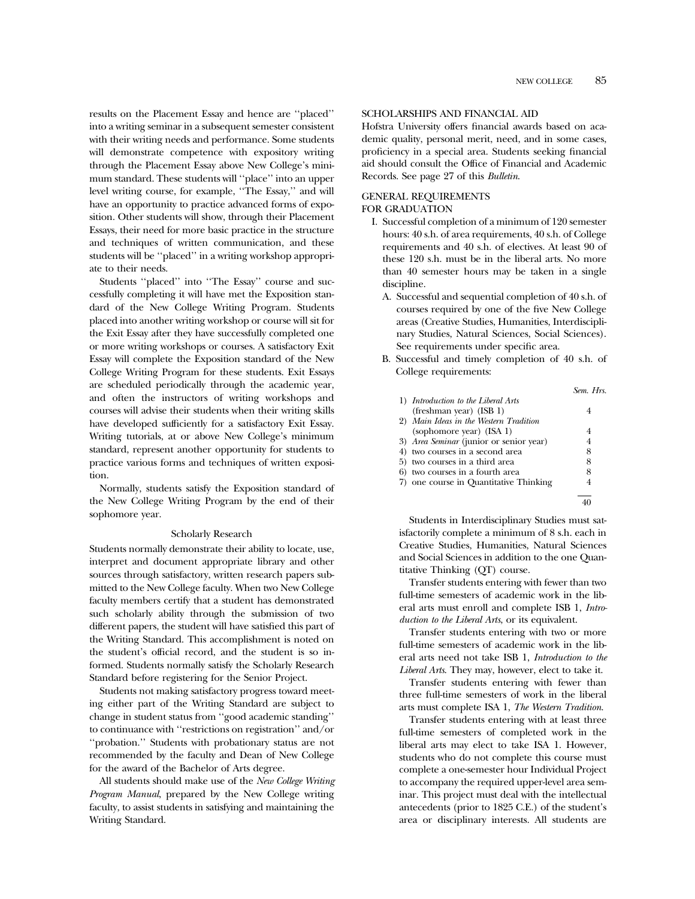results on the Placement Essay and hence are ''placed'' into a writing seminar in a subsequent semester consistent with their writing needs and performance. Some students will demonstrate competence with expository writing through the Placement Essay above New College's minimum standard. These students will ''place'' into an upper level writing course, for example, ''The Essay,'' and will have an opportunity to practice advanced forms of exposition. Other students will show, through their Placement Essays, their need for more basic practice in the structure and techniques of written communication, and these students will be ''placed'' in a writing workshop appropriate to their needs.

Students ''placed'' into ''The Essay'' course and successfully completing it will have met the Exposition standard of the New College Writing Program. Students placed into another writing workshop or course will sit for the Exit Essay after they have successfully completed one or more writing workshops or courses. A satisfactory Exit Essay will complete the Exposition standard of the New College Writing Program for these students. Exit Essays are scheduled periodically through the academic year, and often the instructors of writing workshops and courses will advise their students when their writing skills have developed sufficiently for a satisfactory Exit Essay. Writing tutorials, at or above New College's minimum standard, represent another opportunity for students to practice various forms and techniques of written exposition.

Normally, students satisfy the Exposition standard of the New College Writing Program by the end of their sophomore year.

#### Scholarly Research

Students normally demonstrate their ability to locate, use, interpret and document appropriate library and other sources through satisfactory, written research papers submitted to the New College faculty. When two New College faculty members certify that a student has demonstrated such scholarly ability through the submission of two different papers, the student will have satisfied this part of the Writing Standard. This accomplishment is noted on the student's official record, and the student is so informed. Students normally satisfy the Scholarly Research Standard before registering for the Senior Project.

Students not making satisfactory progress toward meeting either part of the Writing Standard are subject to change in student status from ''good academic standing'' to continuance with ''restrictions on registration'' and/or ''probation.'' Students with probationary status are not recommended by the faculty and Dean of New College for the award of the Bachelor of Arts degree.

All students should make use of the *New College Writing Program Manual*, prepared by the New College writing faculty, to assist students in satisfying and maintaining the Writing Standard.

## SCHOLARSHIPS AND FINANCIAL AID

Hofstra University offers financial awards based on academic quality, personal merit, need, and in some cases, proficiency in a special area. Students seeking financial aid should consult the Office of Financial and Academic Records. See page 27 of this *Bulletin*.

## GENERAL REQUIREMENTS

#### FOR GRADUATION

- I. Successful completion of a minimum of 120 semester hours: 40 s.h. of area requirements, 40 s.h. of College requirements and 40 s.h. of electives. At least 90 of these 120 s.h. must be in the liberal arts. No more than 40 semester hours may be taken in a single discipline.
	- A. Successful and sequential completion of 40 s.h. of courses required by one of the five New College areas (Creative Studies, Humanities, Interdisciplinary Studies, Natural Sciences, Social Sciences). See requirements under specific area.
	- B. Successful and timely completion of 40 s.h. of College requirements:

|                                         | Sem Hrs |
|-----------------------------------------|---------|
| 1) Introduction to the Liberal Arts     |         |
| (freshman year) (ISB 1)                 | 4       |
| 2) Main Ideas in the Western Tradition  |         |
| (sophomore year) (ISA 1)                | 4       |
| 3) Area Seminar (junior or senior year) | 4       |
| 4) two courses in a second area         | 8       |
| 5) two courses in a third area          | 8       |
| 6) two courses in a fourth area         | 8       |
| 7) one course in Quantitative Thinking  | 4       |
|                                         |         |
|                                         |         |

Students in Interdisciplinary Studies must satisfactorily complete a minimum of 8 s.h. each in Creative Studies, Humanities, Natural Sciences and Social Sciences in addition to the one Quantitative Thinking (QT) course.

Transfer students entering with fewer than two full-time semesters of academic work in the liberal arts must enroll and complete ISB 1, *Introduction to the Liberal Arts*, or its equivalent.

Transfer students entering with two or more full-time semesters of academic work in the liberal arts need not take ISB 1, *Introduction to the Liberal Arts*. They may, however, elect to take it.

Transfer students entering with fewer than three full-time semesters of work in the liberal arts must complete ISA 1, *The Western Tradition*.

Transfer students entering with at least three full-time semesters of completed work in the liberal arts may elect to take ISA 1. However, students who do not complete this course must complete a one-semester hour Individual Project to accompany the required upper-level area seminar. This project must deal with the intellectual antecedents (prior to 1825 C.E.) of the student's area or disciplinary interests. All students are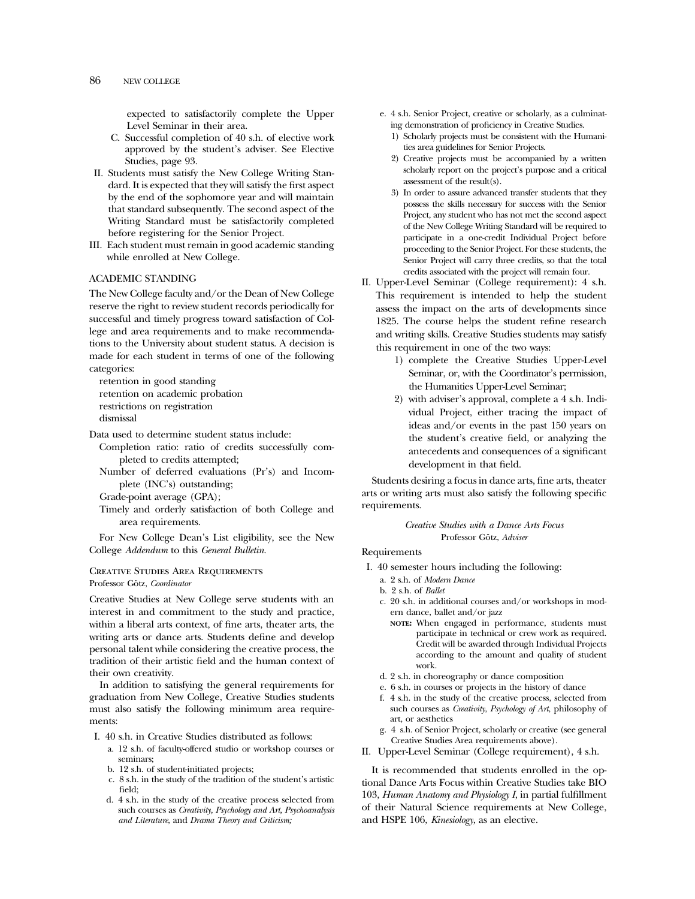expected to satisfactorily complete the Upper Level Seminar in their area.

- C. Successful completion of 40 s.h. of elective work approved by the student's adviser. See Elective Studies, page 93.
- II. Students must satisfy the New College Writing Standard. It is expected that they will satisfy the first aspect by the end of the sophomore year and will maintain that standard subsequently. The second aspect of the Writing Standard must be satisfactorily completed before registering for the Senior Project.
- III. Each student must remain in good academic standing while enrolled at New College.

## ACADEMIC STANDING

The New College faculty and/or the Dean of New College reserve the right to review student records periodically for successful and timely progress toward satisfaction of College and area requirements and to make recommendations to the University about student status. A decision is made for each student in terms of one of the following categories:

retention in good standing retention on academic probation restrictions on registration dismissal

Data used to determine student status include:

- Completion ratio: ratio of credits successfully completed to credits attempted;
- Number of deferred evaluations (Pr's) and Incomplete (INC's) outstanding;

Grade-point average (GPA);

Timely and orderly satisfaction of both College and area requirements.

For New College Dean's List eligibility, see the New College *Addendum* to this *General Bulletin*.

#### Creative Studies Area Requirements Professor Götz, *Coordinator*

Creative Studies at New College serve students with an interest in and commitment to the study and practice, within a liberal arts context, of fine arts, theater arts, the writing arts or dance arts. Students define and develop personal talent while considering the creative process, the tradition of their artistic field and the human context of their own creativity.

In addition to satisfying the general requirements for graduation from New College, Creative Studies students must also satisfy the following minimum area requirements:

- I. 40 s.h. in Creative Studies distributed as follows:
	- a. 12 s.h. of faculty-offered studio or workshop courses or seminars;
	- b. 12 s.h. of student-initiated projects;
	- c. 8 s.h. in the study of the tradition of the student's artistic field;
	- d. 4 s.h. in the study of the creative process selected from such courses as *Creativity, Psychology and Art, Psychoanalysis and Literature*, and *Drama Theory and Criticism;*
- e. 4 s.h. Senior Project, creative or scholarly, as a culminating demonstration of proficiency in Creative Studies.
	- 1) Scholarly projects must be consistent with the Humanities area guidelines for Senior Projects.
	- 2) Creative projects must be accompanied by a written scholarly report on the project's purpose and a critical assessment of the result(s).
- 3) In order to assure advanced transfer students that they possess the skills necessary for success with the Senior Project, any student who has not met the second aspect of the New College Writing Standard will be required to participate in a one-credit Individual Project before proceeding to the Senior Project. For these students, the Senior Project will carry three credits, so that the total credits associated with the project will remain four.
- II. Upper-Level Seminar (College requirement): 4 s.h. This requirement is intended to help the student assess the impact on the arts of developments since 1825. The course helps the student refine research and writing skills. Creative Studies students may satisfy this requirement in one of the two ways:
	- 1) complete the Creative Studies Upper-Level Seminar, or, with the Coordinator's permission, the Humanities Upper-Level Seminar;
	- 2) with adviser's approval, complete a 4 s.h. Individual Project, either tracing the impact of ideas and/or events in the past 150 years on the student's creative field, or analyzing the antecedents and consequences of a significant development in that field.

Students desiring a focus in dance arts, fine arts, theater arts or writing arts must also satisfy the following specific requirements.

> *Creative Studies with a Dance Arts Focus* Professor Götz, *Adviser*

#### Requirements

- I. 40 semester hours including the following:
	- a. 2 s.h. of *Modern Dance*
	- b. 2 s.h. of *Ballet*
	- c. 20 s.h. in additional courses and/or workshops in modern dance, ballet and/or jazz
		- **NOTE:** When engaged in performance, students must participate in technical or crew work as required. Credit will be awarded through Individual Projects according to the amount and quality of student work.
	- d. 2 s.h. in choreography or dance composition
	- e. 6 s.h. in courses or projects in the history of dance
	- f. 4 s.h. in the study of the creative process, selected from such courses as *Creativity*, *Psychology of Art*, philosophy of art, or aesthetics
	- g. 4 s.h. of Senior Project, scholarly or creative (see general Creative Studies Area requirements above).
- II. Upper-Level Seminar (College requirement), 4 s.h.

It is recommended that students enrolled in the optional Dance Arts Focus within Creative Studies take BIO 103, *Human Anatomy and Physiology I*, in partial fulfillment of their Natural Science requirements at New College, and HSPE 106, *Kinesiology*, as an elective.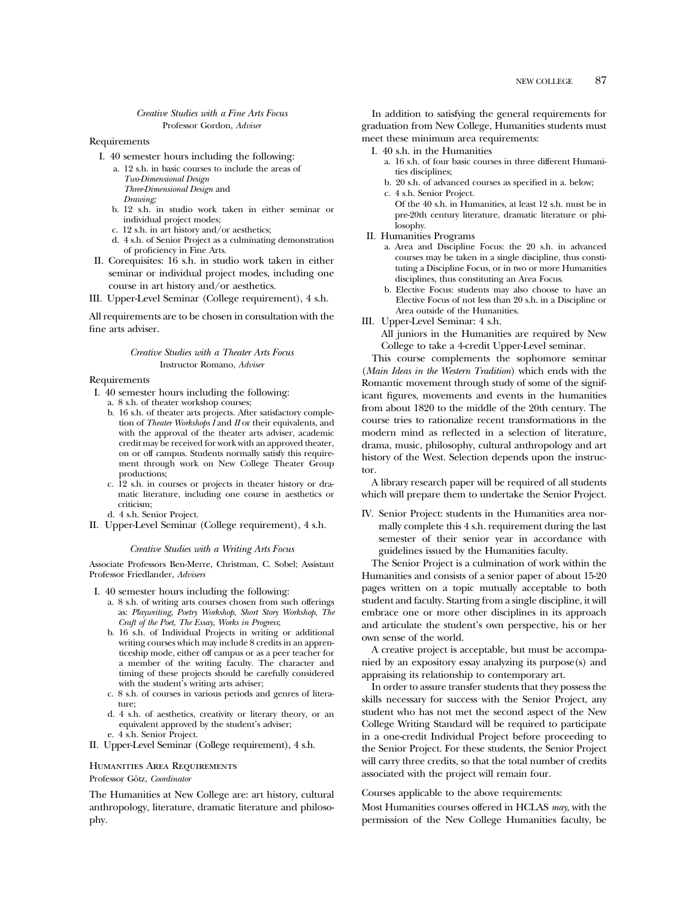#### *Creative Studies with a Fine Arts Focus* Professor Gordon, *Adviser*

#### Requirements

- I. 40 semester hours including the following:
	- a. 12 s.h. in basic courses to include the areas of *Two-Dimensional Design Three-Dimensional Design* and *Drawing;*
	- b. 12 s.h. in studio work taken in either seminar or individual project modes;
	- c. 12 s.h. in art history and/or aesthetics;
	- d. 4 s.h. of Senior Project as a culminating demonstration of proficiency in Fine Arts.
- II. Corequisites: 16 s.h. in studio work taken in either seminar or individual project modes, including one course in art history and/or aesthetics.
- III. Upper-Level Seminar (College requirement), 4 s.h.

All requirements are to be chosen in consultation with the fine arts adviser.

#### *Creative Studies with a Theater Arts Focus* Instructor Romano, *Adviser*

## Requirements

- I. 40 semester hours including the following:
	- a. 8 s.h. of theater workshop courses;
	- b. 16 s.h. of theater arts projects. After satisfactory completion of *Theater Workshops I* and *II* or their equivalents, and with the approval of the theater arts adviser, academic credit may be received for work with an approved theater, on or off campus. Students normally satisfy this requirement through work on New College Theater Group productions;
	- c. 12 s.h. in courses or projects in theater history or dramatic literature, including one course in aesthetics or criticism;
	- d. 4 s.h. Senior Project.
- II. Upper-Level Seminar (College requirement), 4 s.h.

## *Creative Studies with a Writing Arts Focus*

Associate Professors Ben-Merre, Christman, C. Sobel; Assistant Professor Friedlander, *Advisers*

- I. 40 semester hours including the following:
	- a. 8 s.h. of writing arts courses chosen from such offerings as: *Playwriting*, *Poetry Workshop*, *Short Story Workshop*, *The Craft of the Poet*, *The Essay*, *Works in Progress*;
	- b. 16 s.h. of Individual Projects in writing or additional writing courses which may include 8 credits in an apprenticeship mode, either off campus or as a peer teacher for a member of the writing faculty. The character and timing of these projects should be carefully considered with the student's writing arts adviser;
	- c. 8 s.h. of courses in various periods and genres of literature;
	- d. 4 s.h. of aesthetics, creativity or literary theory, or an equivalent approved by the student's adviser; e. 4 s.h. Senior Project.
- II. Upper-Level Seminar (College requirement), 4 s.h.

# Humanities Area Requirements

#### Professor Götz, *Coordinator*

The Humanities at New College are: art history, cultural anthropology, literature, dramatic literature and philosophy.

In addition to satisfying the general requirements for graduation from New College, Humanities students must meet these minimum area requirements:

- I. 40 s.h. in the Humanities
	- a. 16 s.h. of four basic courses in three different Humanities disciplines;
	- b. 20 s.h. of advanced courses as specified in a. below;
	- c. 4 s.h. Senior Project. Of the 40 s.h. in Humanities, at least 12 s.h. must be in
	- pre-20th century literature, dramatic literature or philosophy.
- II. Humanities Programs
	- a. Area and Discipline Focus: the 20 s.h. in advanced courses may be taken in a single discipline, thus constituting a Discipline Focus, or in two or more Humanities disciplines, thus constituting an Area Focus.
	- b. Elective Focus: students may also choose to have an Elective Focus of not less than 20 s.h. in a Discipline or Area outside of the Humanities.
- III. Upper-Level Seminar: 4 s.h.

All juniors in the Humanities are required by New College to take a 4-credit Upper-Level seminar.

This course complements the sophomore seminar (*Main Ideas in the Western Tradition*) which ends with the Romantic movement through study of some of the significant figures, movements and events in the humanities from about 1820 to the middle of the 20th century. The course tries to rationalize recent transformations in the modern mind as reflected in a selection of literature, drama, music, philosophy, cultural anthropology and art history of the West. Selection depends upon the instructor.

A library research paper will be required of all students which will prepare them to undertake the Senior Project.

IV. Senior Project: students in the Humanities area normally complete this 4 s.h. requirement during the last semester of their senior year in accordance with guidelines issued by the Humanities faculty.

The Senior Project is a culmination of work within the Humanities and consists of a senior paper of about 15-20 pages written on a topic mutually acceptable to both student and faculty. Starting from a single discipline, it will embrace one or more other disciplines in its approach and articulate the student's own perspective, his or her own sense of the world.

A creative project is acceptable, but must be accompanied by an expository essay analyzing its purpose(s) and appraising its relationship to contemporary art.

In order to assure transfer students that they possess the skills necessary for success with the Senior Project, any student who has not met the second aspect of the New College Writing Standard will be required to participate in a one-credit Individual Project before proceeding to the Senior Project. For these students, the Senior Project will carry three credits, so that the total number of credits associated with the project will remain four.

Courses applicable to the above requirements:

Most Humanities courses offered in HCLAS *may*, with the permission of the New College Humanities faculty, be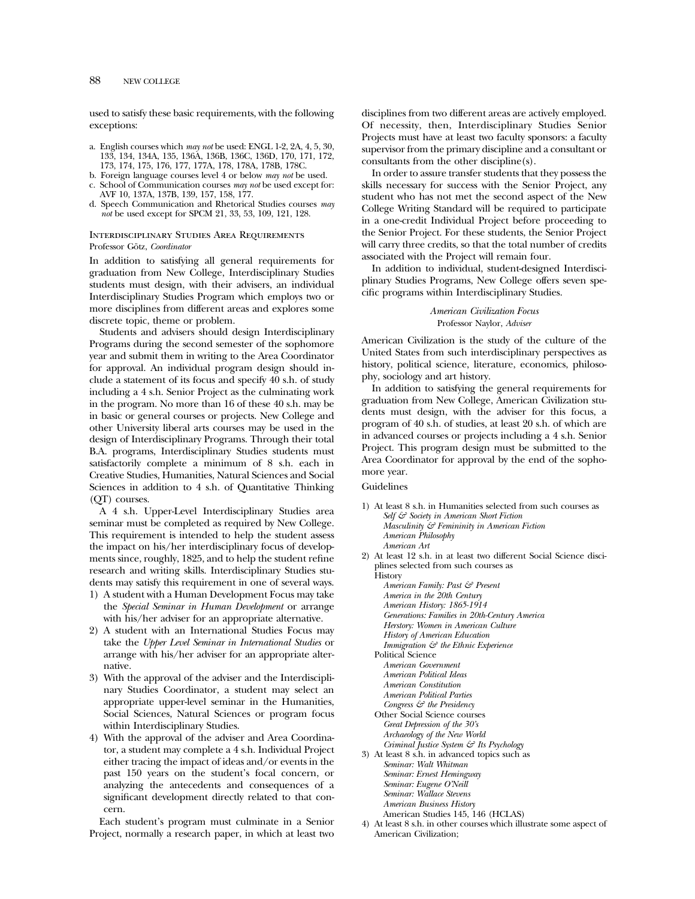## 88 NEW COLLEGE

used to satisfy these basic requirements, with the following exceptions:

- a. English courses which *may not* be used: ENGL 1-2, 2A, 4, 5, 30, 133, 134, 134A, 135, 136A, 136B, 136C, 136D, 170, 171, 172, 173, 174, 175, 176, 177, 177A, 178, 178A, 178B, 178C.
- b. Foreign language courses level 4 or below *may not* be used.
- c. School of Communication courses *may not* be used except for: AVF 10, 137A, 137B, 139, 157, 158, 177.
- d. Speech Communication and Rhetorical Studies courses *may not* be used except for SPCM 21, 33, 53, 109, 121, 128.

## Interdisciplinary Studies Area Requirements Professor Götz, *Coordinator*

In addition to satisfying all general requirements for graduation from New College, Interdisciplinary Studies students must design, with their advisers, an individual Interdisciplinary Studies Program which employs two or more disciplines from different areas and explores some discrete topic, theme or problem.

Students and advisers should design Interdisciplinary Programs during the second semester of the sophomore year and submit them in writing to the Area Coordinator for approval. An individual program design should include a statement of its focus and specify 40 s.h. of study including a 4 s.h. Senior Project as the culminating work in the program. No more than 16 of these 40 s.h. may be in basic or general courses or projects. New College and other University liberal arts courses may be used in the design of Interdisciplinary Programs. Through their total B.A. programs, Interdisciplinary Studies students must satisfactorily complete a minimum of 8 s.h. each in Creative Studies, Humanities, Natural Sciences and Social Sciences in addition to 4 s.h. of Quantitative Thinking (QT) courses.

A 4 s.h. Upper-Level Interdisciplinary Studies area seminar must be completed as required by New College. This requirement is intended to help the student assess the impact on his/her interdisciplinary focus of developments since, roughly, 1825, and to help the student refine research and writing skills. Interdisciplinary Studies students may satisfy this requirement in one of several ways.

- 1) A student with a Human Development Focus may take the *Special Seminar in Human Development* or arrange with his/her adviser for an appropriate alternative.
- 2) A student with an International Studies Focus may take the *Upper Level Seminar in International Studies* or arrange with his/her adviser for an appropriate alternative.
- 3) With the approval of the adviser and the Interdisciplinary Studies Coordinator, a student may select an appropriate upper-level seminar in the Humanities, Social Sciences, Natural Sciences or program focus within Interdisciplinary Studies.
- 4) With the approval of the adviser and Area Coordinator, a student may complete a 4 s.h. Individual Project either tracing the impact of ideas and/or events in the past 150 years on the student's focal concern, or analyzing the antecedents and consequences of a significant development directly related to that concern.

Each student's program must culminate in a Senior Project, normally a research paper, in which at least two disciplines from two different areas are actively employed. Of necessity, then, Interdisciplinary Studies Senior Projects must have at least two faculty sponsors: a faculty supervisor from the primary discipline and a consultant or consultants from the other discipline(s).

In order to assure transfer students that they possess the skills necessary for success with the Senior Project, any student who has not met the second aspect of the New College Writing Standard will be required to participate in a one-credit Individual Project before proceeding to the Senior Project. For these students, the Senior Project will carry three credits, so that the total number of credits associated with the Project will remain four.

In addition to individual, student-designed Interdisciplinary Studies Programs, New College offers seven specific programs within Interdisciplinary Studies.

> *American Civilization Focus* Professor Naylor, *Adviser*

American Civilization is the study of the culture of the United States from such interdisciplinary perspectives as history, political science, literature, economics, philosophy, sociology and art history.

In addition to satisfying the general requirements for graduation from New College, American Civilization students must design, with the adviser for this focus, a program of 40 s.h. of studies, at least 20 s.h. of which are in advanced courses or projects including a 4 s.h. Senior Project. This program design must be submitted to the Area Coordinator for approval by the end of the sophomore year.

#### Guidelines

- 1) At least 8 s.h. in Humanities selected from such courses as *Self & Society in American Short Fiction Masculinity & Femininity in American Fiction American Philosophy*
	- *American Art*
- 2) At least 12 s.h. in at least two different Social Science disciplines selected from such courses as
	- **History**
	- *American Family: Past & Present*
	- *America in the 20th Century*
	- *American History: 1865-1914*
	- *Generations: Families in 20th-Century America*
	- *Herstory: Women in American Culture History of American Education*

*Immigration*  $\mathcal{S}^2$  the Ethnic Experience

Political Science

*American Government*

- *American Political Ideas*
- *American Constitution*
- *American Political Parties*
- *Congress & the Presidency*
- Other Social Science courses *Great Depression of the 30's*
- *Archaeology of the New World*
- *Criminal Justice System & Its Psychology*
- 3) At least 8 s.h. in advanced topics such as

*Seminar: Walt Whitman Seminar: Ernest Hemingway Seminar: Eugene O'Neill Seminar: Wallace Stevens American Business History*

- American Studies 145, 146 (HCLAS)
- 4) At least 8 s.h. in other courses which illustrate some aspect of American Civilization;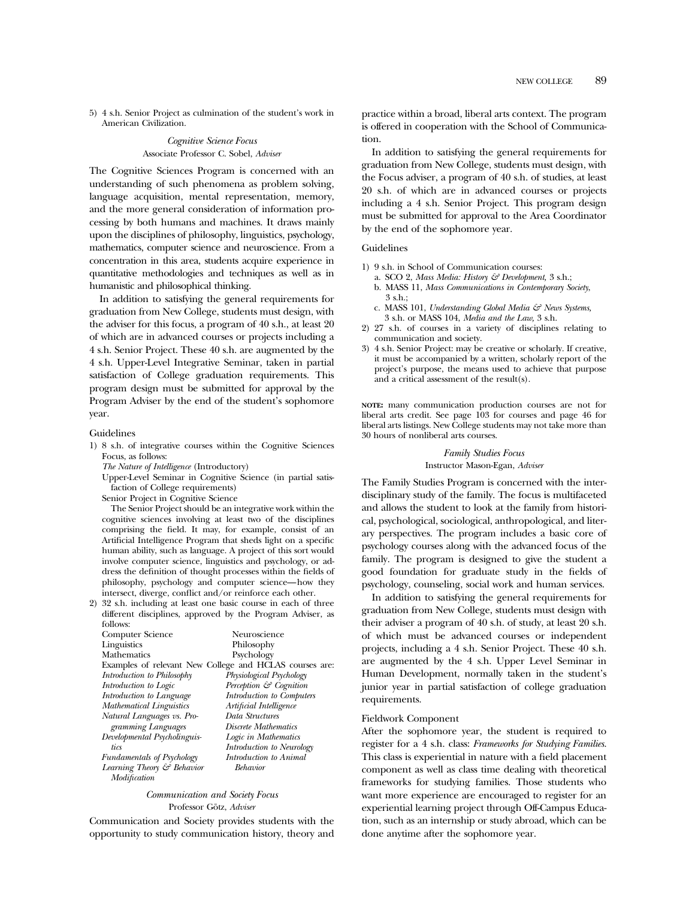5) 4 s.h. Senior Project as culmination of the student's work in American Civilization.

## *Cognitive Science Focus* Associate Professor C. Sobel, *Adviser*

The Cognitive Sciences Program is concerned with an understanding of such phenomena as problem solving, language acquisition, mental representation, memory, and the more general consideration of information processing by both humans and machines. It draws mainly upon the disciplines of philosophy, linguistics, psychology, mathematics, computer science and neuroscience. From a concentration in this area, students acquire experience in quantitative methodologies and techniques as well as in humanistic and philosophical thinking.

In addition to satisfying the general requirements for graduation from New College, students must design, with the adviser for this focus, a program of 40 s.h., at least 20 of which are in advanced courses or projects including a 4 s.h. Senior Project. These 40 s.h. are augmented by the 4 s.h. Upper-Level Integrative Seminar, taken in partial satisfaction of College graduation requirements. This program design must be submitted for approval by the Program Adviser by the end of the student's sophomore year.

#### Guidelines

- 1) 8 s.h. of integrative courses within the Cognitive Sciences Focus, as follows:
	- *The Nature of Intelligence* (Introductory)
	- Upper-Level Seminar in Cognitive Science (in partial satisfaction of College requirements)
	- Senior Project in Cognitive Science

The Senior Project should be an integrative work within the cognitive sciences involving at least two of the disciplines comprising the field. It may, for example, consist of an Artificial Intelligence Program that sheds light on a specific human ability, such as language. A project of this sort would involve computer science, linguistics and psychology, or address the definition of thought processes within the fields of philosophy, psychology and computer science—how they intersect, diverge, conflict and/or reinforce each other.

2) 32 s.h. including at least one basic course in each of three different disciplines, approved by the Program Adviser, as follows:

| Computer Science                  | Neuroscience                                            |
|-----------------------------------|---------------------------------------------------------|
| Linguistics                       | Philosophy                                              |
| Mathematics                       | Psychology                                              |
|                                   | Examples of relevant New College and HCLAS courses are: |
| Introduction to Philosophy        | Physiological Psychology                                |
| Introduction to Logic             | Perception & Cognition                                  |
| Introduction to Language          | Introduction to Computers                               |
| <b>Mathematical Linguistics</b>   | Artificial Intelligence                                 |
| Natural Languages vs. Pro-        | Data Structures                                         |
| gramming Languages                | Discrete Mathematics                                    |
| Developmental Psycholinguis-      | Logic in Mathematics                                    |
| tics                              | Introduction to Neurology                               |
| <b>Fundamentals of Psychology</b> | Introduction to Animal                                  |
| Learning Theory & Behavior        | Behavior                                                |
| Modification                      |                                                         |

#### *Communication and Society Focus* Professor Götz, Adviser

Communication and Society provides students with the opportunity to study communication history, theory and practice within a broad, liberal arts context. The program is offered in cooperation with the School of Communication.

In addition to satisfying the general requirements for graduation from New College, students must design, with the Focus adviser, a program of 40 s.h. of studies, at least 20 s.h. of which are in advanced courses or projects including a 4 s.h. Senior Project. This program design must be submitted for approval to the Area Coordinator by the end of the sophomore year.

#### Guidelines

- 1) 9 s.h. in School of Communication courses:
	- a. SCO 2, *Mass Media: History & Development,* 3 s.h.;
	- b. MASS 11, *Mass Communications in Contemporary Society*,  $3 \,$ s.h.;
	- c. MASS 101, *Understanding Global Media & News Systems,* 3 s.h. or MASS 104, *Media and the Law,* 3 s.h.
- 2) 27 s.h. of courses in a variety of disciplines relating to communication and society.
- 3) 4 s.h. Senior Project: may be creative or scholarly. If creative, it must be accompanied by a written, scholarly report of the project's purpose, the means used to achieve that purpose and a critical assessment of the result(s).

**NOTE:** many communication production courses are not for liberal arts credit. See page 103 for courses and page 46 for liberal arts listings. New College students may not take more than 30 hours of nonliberal arts courses.

#### *Family Studies Focus* Instructor Mason-Egan, *Adviser*

The Family Studies Program is concerned with the interdisciplinary study of the family. The focus is multifaceted and allows the student to look at the family from historical, psychological, sociological, anthropological, and literary perspectives. The program includes a basic core of psychology courses along with the advanced focus of the family. The program is designed to give the student a good foundation for graduate study in the fields of psychology, counseling, social work and human services.

In addition to satisfying the general requirements for graduation from New College, students must design with their adviser a program of 40 s.h. of study, at least 20 s.h. of which must be advanced courses or independent projects, including a 4 s.h. Senior Project. These 40 s.h. are augmented by the 4 s.h. Upper Level Seminar in Human Development, normally taken in the student's junior year in partial satisfaction of college graduation requirements.

## Fieldwork Component

After the sophomore year, the student is required to register for a 4 s.h. class: *Frameworks for Studying Families*. This class is experiential in nature with a field placement component as well as class time dealing with theoretical frameworks for studying families. Those students who want more experience are encouraged to register for an experiential learning project through Off-Campus Education, such as an internship or study abroad, which can be done anytime after the sophomore year.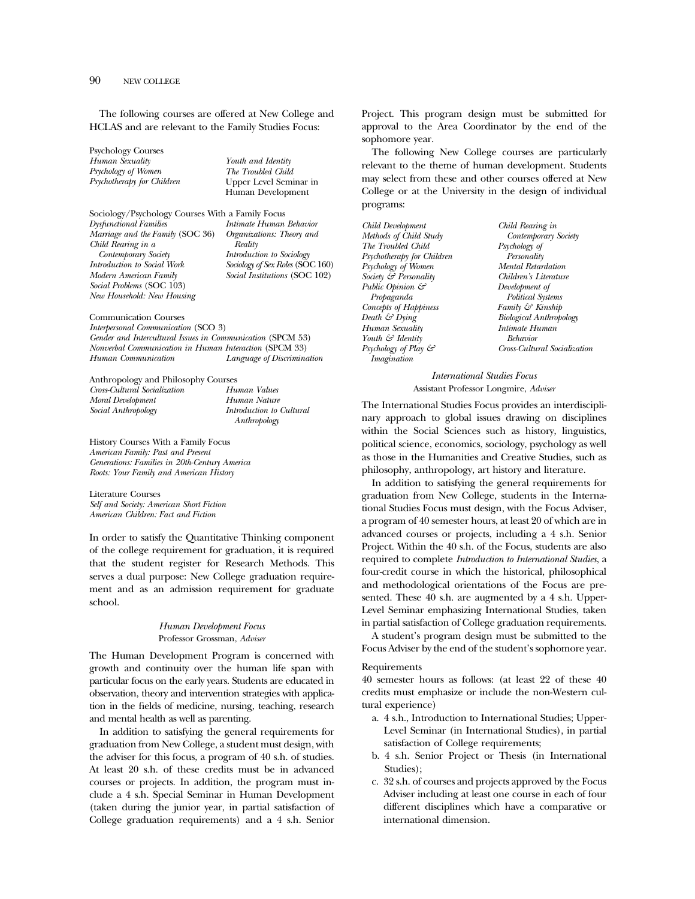The following courses are offered at New College and HCLAS and are relevant to the Family Studies Focus:

Psychology Courses *Human Sexuality Psychology of Women Psychotherapy for Children*

*Youth and Identity The Troubled Child* Upper Level Seminar in Human Development

Sociology/Psychology Courses With a Family Focus *Dysfunctional Families Marriage and the Family* (SOC 36) *Child Rearing in a Contemporary Society Introduction to Social Work Modern American Family Social Problems* (SOC 103) *New Household: New Housing Intimate Human Behavior Organizations: Theory and Reality Introduction to Sociology Sociology of Sex Roles* (SOC 160) *Social Institutions* (SOC 102)

Communication Courses *Interpersonal Communication* (SCO 3) *Gender and Intercultural Issues in Communication* (SPCM 53) *Nonverbal Communication in Human Interaction* (SPCM 33) *Human Communication Language of Discrimination*

Anthropology and Philosophy Courses

*Cross-Cultural Socialization Moral Development Social Anthropology*

*Human Values Human Nature Introduction to Cultural Anthropology*

History Courses With a Family Focus *American Family: Past and Present Generations: Families in 20th-Century America Roots: Your Family and American History*

Literature Courses *Self and Society: American Short Fiction American Children: Fact and Fiction*

In order to satisfy the Quantitative Thinking component of the college requirement for graduation, it is required that the student register for Research Methods. This serves a dual purpose: New College graduation requirement and as an admission requirement for graduate school.

## *Human Development Focus* Professor Grossman, *Adviser*

The Human Development Program is concerned with growth and continuity over the human life span with particular focus on the early years. Students are educated in observation, theory and intervention strategies with application in the fields of medicine, nursing, teaching, research and mental health as well as parenting.

In addition to satisfying the general requirements for graduation from New College, a student must design, with the adviser for this focus, a program of 40 s.h. of studies. At least 20 s.h. of these credits must be in advanced courses or projects. In addition, the program must include a 4 s.h. Special Seminar in Human Development (taken during the junior year, in partial satisfaction of College graduation requirements) and a 4 s.h. Senior

Project. This program design must be submitted for approval to the Area Coordinator by the end of the sophomore year.

The following New College courses are particularly relevant to the theme of human development. Students may select from these and other courses offered at New College or at the University in the design of individual programs:

*Child Development Methods of Child Study The Troubled Child Psychotherapy for Children Psychology of Women Society & Personality Public Opinion & Propaganda Concepts of Happiness Death & Dying Human Sexuality Youth & Identity Psychology of Play & Imagination*

*Child Rearing in Contemporary Society Psychology of Personality Mental Retardation Children's Literature Development of Political Systems Family & Kinship Biological Anthropology Intimate Human Behavior Cross-Cultural Socialization*

*International Studies Focus* Assistant Professor Longmire, *Adviser*

The International Studies Focus provides an interdisciplinary approach to global issues drawing on disciplines within the Social Sciences such as history, linguistics, political science, economics, sociology, psychology as well as those in the Humanities and Creative Studies, such as philosophy, anthropology, art history and literature.

In addition to satisfying the general requirements for graduation from New College, students in the International Studies Focus must design, with the Focus Adviser, a program of 40 semester hours, at least 20 of which are in advanced courses or projects, including a 4 s.h. Senior Project. Within the 40 s.h. of the Focus, students are also required to complete *Introduction to International Studies*, a four-credit course in which the historical, philosophical and methodological orientations of the Focus are presented. These 40 s.h. are augmented by a 4 s.h. Upper-Level Seminar emphasizing International Studies, taken in partial satisfaction of College graduation requirements.

A student's program design must be submitted to the Focus Adviser by the end of the student's sophomore year.

#### Requirements

40 semester hours as follows: (at least 22 of these 40 credits must emphasize or include the non-Western cultural experience)

- a. 4 s.h., Introduction to International Studies; Upper-Level Seminar (in International Studies), in partial satisfaction of College requirements;
- b. 4 s.h. Senior Project or Thesis (in International Studies);
- c. 32 s.h. of courses and projects approved by the Focus Adviser including at least one course in each of four different disciplines which have a comparative or international dimension.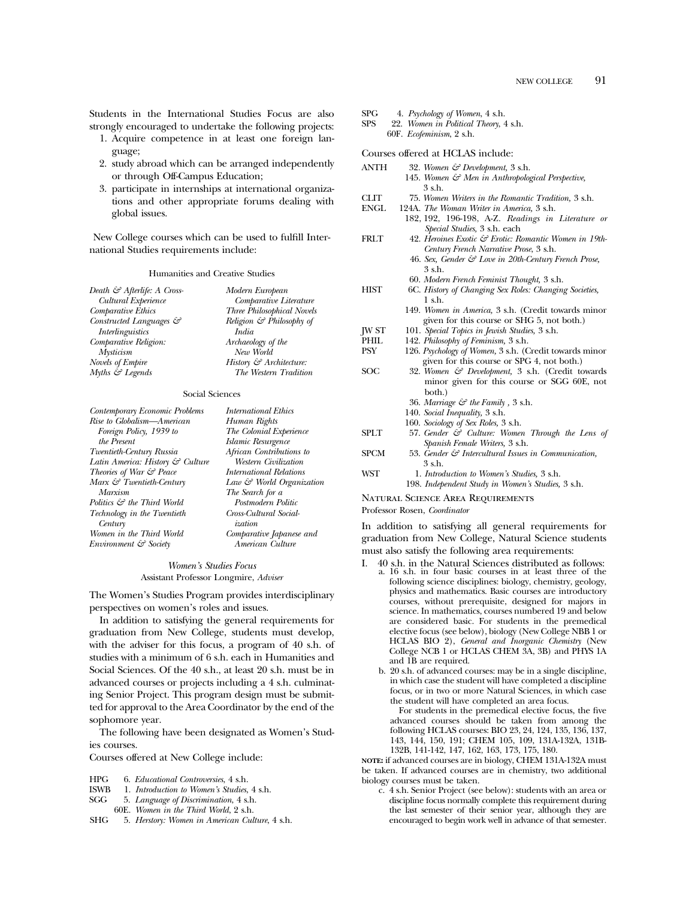Students in the International Studies Focus are also strongly encouraged to undertake the following projects:

- 1. Acquire competence in at least one foreign language;
- 2. study abroad which can be arranged independently or through Off-Campus Education;
- 3. participate in internships at international organizations and other appropriate forums dealing with global issues.

New College courses which can be used to fulfill International Studies requirements include:

#### Humanities and Creative Studies

*Modern European*

| Death & Afterlife: A Cross- | Modern European                    |
|-----------------------------|------------------------------------|
| Cultural Experience         | Comparative Literature             |
| Comparative Ethics          | Three Philosophical Novels         |
| Constructed Languages &     | Religion $G$ Philosophy of         |
| <i>Interlinguistics</i>     | India                              |
| Comparative Religion:       | Archaeology of the                 |
| <b>Mysticism</b>            | New World                          |
| Novels of Empire            | History $\mathcal G$ Architecture: |
| Myths & Legends             | The Western Tradition              |
|                             |                                    |

#### Social Sciences

| Contemporary Economic Problems         | <i>International Ethics</i> |
|----------------------------------------|-----------------------------|
| Rise to Globalism—American             | Human Rights                |
| Foreign Policy, 1939 to                | The Colonial Experience     |
| the Present                            | Islamic Resurgence          |
| Twentieth-Century Russia               | African Contributions to    |
| Latin America: History & Culture       | Western Civilization        |
| Theories of War & Peace                | International Relations     |
| Marx & Twentieth-Century               | Law & World Organization    |
| Marxism                                | The Search for a            |
| Politics $\mathcal{C}$ the Third World | Postmodern Politic          |
| Technology in the Twentieth            | Cross-Cultural Social-      |
| Century                                | <i>ization</i>              |
| Women in the Third World               | Comparative Japanese and    |
| Environment & Society                  | American Culture            |

#### *Women's Studies Focus* Assistant Professor Longmire, *Adviser*

The Women's Studies Program provides interdisciplinary perspectives on women's roles and issues.

In addition to satisfying the general requirements for graduation from New College, students must develop, with the adviser for this focus, a program of 40 s.h. of studies with a minimum of 6 s.h. each in Humanities and Social Sciences. Of the 40 s.h., at least 20 s.h. must be in advanced courses or projects including a 4 s.h. culminating Senior Project. This program design must be submitted for approval to the Area Coordinator by the end of the sophomore year.

The following have been designated as Women's Studies courses.

Courses offered at New College include:

- HPG 6. *Educational Controversies*, 4 s.h.
- ISWB 1. *Introduction to Women's Studies*, 4 s.h.
- SGG 5. *Language of Discrimination*, 4 s.h.
- 60E. *Women in the Third World*, 2 s.h.
- SHG 5. *Herstory: Women in American Culture*, 4 s.h.
- SPG 4. *Psychology of Women*, 4 s.h.<br>SPS 22. *Women in Political Theory*, 4
- 22. Women in Political Theory, 4 s.h.
- 60F. *Ecofeminism*, 2 s.h.
- Courses offered at HCLAS include:
- ANTH 32. *Women & Development,* 3 s.h. 145. *Women & Men in Anthropological Perspective,* 3 s.h.
- CLIT 75. *Women Writers in the Romantic Tradition,* 3 s.h.
- ENGL 124A. *The Woman Writer in America,* 3 s.h.
	- 182, 192, 196-198, A-Z. *Readings in Literature or Special Studies,* 3 s.h. each
- FRLT 42. *Heroines Exotic & Erotic: Romantic Women in 19th-Century French Narrative Prose*, 3 s.h. 46. *Sex, Gender & Love in 20th-Century French Prose,* 3 s.h.
- 60. *Modern French Feminist Thought,* 3 s.h. HIST 6C. *History of Changing Sex Roles: Changing Societies,*
	- 1 s.h. 149. *Women in America,* 3 s.h. (Credit towards minor given for this course or SHG 5, not both.)
		-
- JW ST 101. *Special Topics in Jewish Studies,* 3 s.h.
- PHIL 142. *Philosophy of Feminism*, 3 s.h.<br>PSY 126. *Psychology of Women*, 3 s.h. (C 126. *Psychology of Women*, 3 s.h. (Credit towards minor given for this course or SPG 4, not both.)
- SOC 32. *Women & Development,* 3 s.h. (Credit towards minor given for this course or SGG 60E, not both.) 36. *Marriage & the Family ,* 3 s.h. 140. *Social Inequality,* 3 s.h.
	- 160. *Sociology of Sex Roles,* 3 s.h.
- SPLT 57. Gender  $\mathcal{E}$  Culture: Women Through the Lens of *Spanish Female Writers,* 3 s.h.
- SPCM 53. *Gender & Intercultural Issues in Communication,* 3 s.h. WST 1. *Introduction to Women's Studies,* 3 s.h.
	- 198. *Independent Study in Women's Studies,* 3 s.h.

#### Natural Science Area Requirements

Professor Rosen, *Coordinator*

In addition to satisfying all general requirements for graduation from New College, Natural Science students must also satisfy the following area requirements:

- I. 40 s.h. in the Natural Sciences distributed as follows:
	- a. 16 s.h. in four basic courses in at least three of the following science disciplines: biology, chemistry, geology, physics and mathematics. Basic courses are introductory courses, without prerequisite, designed for majors in science. In mathematics, courses numbered 19 and below are considered basic. For students in the premedical elective focus (see below), biology (New College NBB 1 or HCLAS BIO 2), *General and Inorganic Chemistry* (New College NCB 1 or HCLAS CHEM 3A, 3B) and PHYS 1A and 1B are required.
	- b. 20 s.h. of advanced courses: may be in a single discipline, in which case the student will have completed a discipline focus, or in two or more Natural Sciences, in which case the student will have completed an area focus.

For students in the premedical elective focus, the five advanced courses should be taken from among the following HCLAS courses: BIO 23, 24, 124, 135, 136, 137, 143, 144, 150, 191; CHEM 105, 109, 131A-132A, 131B-132B, 141-142, 147, 162, 163, 173, 175, 180.

**NOTE:** if advanced courses are in biology, CHEM 131A-132A must be taken. If advanced courses are in chemistry, two additional biology courses must be taken.

c. 4 s.h. Senior Project (see below): students with an area or discipline focus normally complete this requirement during the last semester of their senior year, although they are encouraged to begin work well in advance of that semester.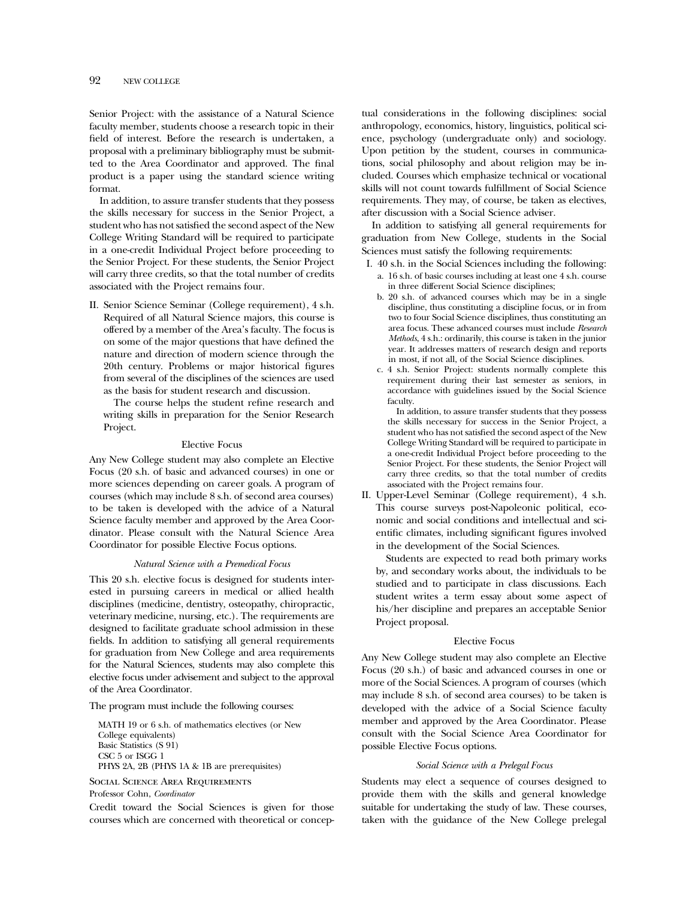Senior Project: with the assistance of a Natural Science faculty member, students choose a research topic in their field of interest. Before the research is undertaken, a proposal with a preliminary bibliography must be submitted to the Area Coordinator and approved. The final product is a paper using the standard science writing format.

In addition, to assure transfer students that they possess the skills necessary for success in the Senior Project, a student who has not satisfied the second aspect of the New College Writing Standard will be required to participate in a one-credit Individual Project before proceeding to the Senior Project. For these students, the Senior Project will carry three credits, so that the total number of credits associated with the Project remains four.

II. Senior Science Seminar (College requirement), 4 s.h. Required of all Natural Science majors, this course is offered by a member of the Area's faculty. The focus is on some of the major questions that have defined the nature and direction of modern science through the 20th century. Problems or major historical figures from several of the disciplines of the sciences are used as the basis for student research and discussion.

The course helps the student refine research and writing skills in preparation for the Senior Research Project.

#### Elective Focus

Any New College student may also complete an Elective Focus (20 s.h. of basic and advanced courses) in one or more sciences depending on career goals. A program of courses (which may include 8 s.h. of second area courses) to be taken is developed with the advice of a Natural Science faculty member and approved by the Area Coordinator. Please consult with the Natural Science Area Coordinator for possible Elective Focus options.

#### *Natural Science with a Premedical Focus*

This 20 s.h. elective focus is designed for students interested in pursuing careers in medical or allied health disciplines (medicine, dentistry, osteopathy, chiropractic, veterinary medicine, nursing, etc.). The requirements are designed to facilitate graduate school admission in these fields. In addition to satisfying all general requirements for graduation from New College and area requirements for the Natural Sciences, students may also complete this elective focus under advisement and subject to the approval of the Area Coordinator.

The program must include the following courses:

MATH 19 or 6 s.h. of mathematics electives (or New College equivalents) Basic Statistics (S 91) CSC 5 or ISGG 1 PHYS 2A, 2B (PHYS 1A & 1B are prerequisites)

Social Science Area Requirements Professor Cohn, *Coordinator*

Credit toward the Social Sciences is given for those courses which are concerned with theoretical or conceptual considerations in the following disciplines: social anthropology, economics, history, linguistics, political science, psychology (undergraduate only) and sociology. Upon petition by the student, courses in communications, social philosophy and about religion may be included. Courses which emphasize technical or vocational skills will not count towards fulfillment of Social Science requirements. They may, of course, be taken as electives, after discussion with a Social Science adviser.

In addition to satisfying all general requirements for graduation from New College, students in the Social Sciences must satisfy the following requirements:

- I. 40 s.h. in the Social Sciences including the following:
	- a. 16 s.h. of basic courses including at least one 4 s.h. course in three different Social Science disciplines;
	- b. 20 s.h. of advanced courses which may be in a single discipline, thus constituting a discipline focus, or in from two to four Social Science disciplines, thus constituting an area focus. These advanced courses must include *Research Methods*, 4 s.h.: ordinarily, this course is taken in the junior year. It addresses matters of research design and reports in most, if not all, of the Social Science disciplines.
	- c. 4 s.h. Senior Project: students normally complete this requirement during their last semester as seniors, in accordance with guidelines issued by the Social Science faculty.

In addition, to assure transfer students that they possess the skills necessary for success in the Senior Project, a student who has not satisfied the second aspect of the New College Writing Standard will be required to participate in a one-credit Individual Project before proceeding to the Senior Project. For these students, the Senior Project will carry three credits, so that the total number of credits associated with the Project remains four.

II. Upper-Level Seminar (College requirement), 4 s.h. This course surveys post-Napoleonic political, economic and social conditions and intellectual and scientific climates, including significant figures involved in the development of the Social Sciences.

Students are expected to read both primary works by, and secondary works about, the individuals to be studied and to participate in class discussions. Each student writes a term essay about some aspect of his/her discipline and prepares an acceptable Senior Project proposal.

#### Elective Focus

Any New College student may also complete an Elective Focus (20 s.h.) of basic and advanced courses in one or more of the Social Sciences. A program of courses (which may include 8 s.h. of second area courses) to be taken is developed with the advice of a Social Science faculty member and approved by the Area Coordinator. Please consult with the Social Science Area Coordinator for possible Elective Focus options.

#### *Social Science with a Prelegal Focus*

Students may elect a sequence of courses designed to provide them with the skills and general knowledge suitable for undertaking the study of law. These courses, taken with the guidance of the New College prelegal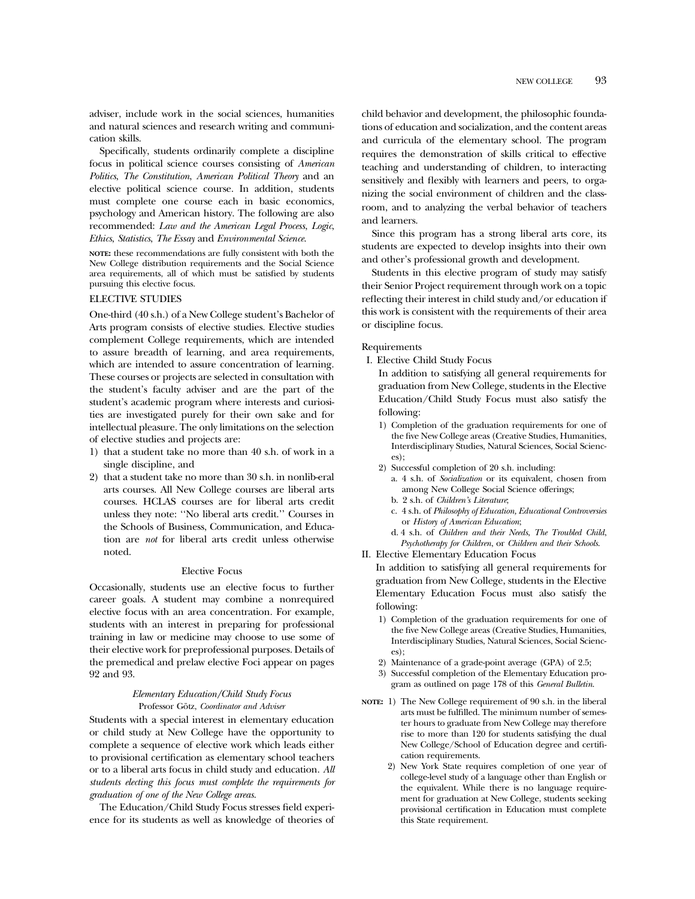adviser, include work in the social sciences, humanities and natural sciences and research writing and communication skills.

Specifically, students ordinarily complete a discipline focus in political science courses consisting of *American Politics*, *The Constitution*, *American Political Theory* and an elective political science course. In addition, students must complete one course each in basic economics, psychology and American history. The following are also recommended: *Law and the American Legal Process*, *Logic*, *Ethics*, *Statistics*, *The Essay* and *Environmental Science*.

**NOTE:** these recommendations are fully consistent with both the New College distribution requirements and the Social Science area requirements, all of which must be satisfied by students pursuing this elective focus.

# ELECTIVE STUDIES

One-third (40 s.h.) of a New College student's Bachelor of Arts program consists of elective studies. Elective studies complement College requirements, which are intended to assure breadth of learning, and area requirements, which are intended to assure concentration of learning. These courses or projects are selected in consultation with the student's faculty adviser and are the part of the student's academic program where interests and curiosities are investigated purely for their own sake and for intellectual pleasure. The only limitations on the selection of elective studies and projects are:

- 1) that a student take no more than 40 s.h. of work in a single discipline, and
- 2) that a student take no more than 30 s.h. in nonlib-eral arts courses. All New College courses are liberal arts courses. HCLAS courses are for liberal arts credit unless they note: ''No liberal arts credit.'' Courses in the Schools of Business, Communication, and Education are *not* for liberal arts credit unless otherwise noted.

#### Elective Focus

Occasionally, students use an elective focus to further career goals. A student may combine a nonrequired elective focus with an area concentration. For example, students with an interest in preparing for professional training in law or medicine may choose to use some of their elective work for preprofessional purposes. Details of the premedical and prelaw elective Foci appear on pages 92 and 93.

#### *Elementary Education/Child Study Focus* Professor Götz, *Coordinator and Adviser*

Students with a special interest in elementary education or child study at New College have the opportunity to complete a sequence of elective work which leads either to provisional certification as elementary school teachers or to a liberal arts focus in child study and education. *All students electing this focus must complete the requirements for graduation of one of the New College areas*.

The Education/Child Study Focus stresses field experience for its students as well as knowledge of theories of child behavior and development, the philosophic foundations of education and socialization, and the content areas and curricula of the elementary school. The program requires the demonstration of skills critical to effective teaching and understanding of children, to interacting sensitively and flexibly with learners and peers, to organizing the social environment of children and the classroom, and to analyzing the verbal behavior of teachers and learners.

Since this program has a strong liberal arts core, its students are expected to develop insights into their own and other's professional growth and development.

Students in this elective program of study may satisfy their Senior Project requirement through work on a topic reflecting their interest in child study and/or education if this work is consistent with the requirements of their area or discipline focus.

#### Requirements

I. Elective Child Study Focus

In addition to satisfying all general requirements for graduation from New College, students in the Elective Education/Child Study Focus must also satisfy the following:

- 1) Completion of the graduation requirements for one of the five New College areas (Creative Studies, Humanities, Interdisciplinary Studies, Natural Sciences, Social Sciences);
- 2) Successful completion of 20 s.h. including:
	- a. 4 s.h. of *Socialization* or its equivalent, chosen from among New College Social Science offerings;
	- b. 2 s.h. of *Children's Literature*;
	- c. 4 s.h. of *Philosophy of Education, Educational Controversies* or *History of American Education*;
	- d. 4 s.h. of *Children and their Needs*, *The Troubled Child*,
- *Psychotherapy for Children*, or *Children and their Schools*. II. Elective Elementary Education Focus

In addition to satisfying all general requirements for graduation from New College, students in the Elective Elementary Education Focus must also satisfy the following:

- 1) Completion of the graduation requirements for one of the five New College areas (Creative Studies, Humanities, Interdisciplinary Studies, Natural Sciences, Social Sciences);
- 2) Maintenance of a grade-point average (GPA) of 2.5;
- 3) Successful completion of the Elementary Education program as outlined on page 178 of this *General Bulletin*.
- **NOTE:** 1) The New College requirement of 90 s.h. in the liberal arts must be fulfilled. The minimum number of semester hours to graduate from New College may therefore rise to more than 120 for students satisfying the dual New College/School of Education degree and certification requirements.
	- 2) New York State requires completion of one year of college-level study of a language other than English or the equivalent. While there is no language requirement for graduation at New College, students seeking provisional certification in Education must complete this State requirement.